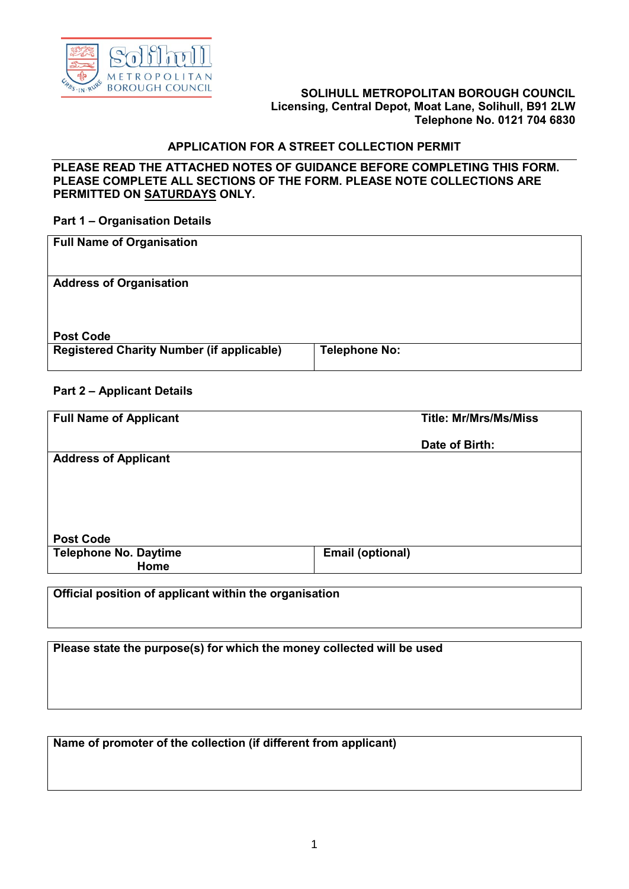

#### **SOLIHULL METROPOLITAN BOROUGH COUNCIL Licensing, Central Depot, Moat Lane, Solihull, B91 2LW Telephone No. 0121 704 6830**

## **APPLICATION FOR A STREET COLLECTION PERMIT**

#### **PLEASE READ THE ATTACHED NOTES OF GUIDANCE BEFORE COMPLETING THIS FORM. PLEASE COMPLETE ALL SECTIONS OF THE FORM. PLEASE NOTE COLLECTIONS ARE PERMITTED ON SATURDAYS ONLY.**

#### **Part 1 – Organisation Details**

| <b>Full Name of Organisation</b>                 |                      |
|--------------------------------------------------|----------------------|
| <b>Address of Organisation</b>                   |                      |
| <b>Post Code</b>                                 |                      |
| <b>Registered Charity Number (if applicable)</b> | <b>Telephone No:</b> |

#### **Part 2 – Applicant Details**

| <b>Full Name of Applicant</b> | <b>Title: Mr/Mrs/Ms/Miss</b> |  |
|-------------------------------|------------------------------|--|
|                               | Date of Birth:               |  |
| <b>Address of Applicant</b>   |                              |  |
|                               |                              |  |
|                               |                              |  |
|                               |                              |  |
| <b>Post Code</b>              |                              |  |
| <b>Telephone No. Daytime</b>  | <b>Email (optional)</b>      |  |
| Home                          |                              |  |
|                               |                              |  |

**Official position of applicant within the organisation**

**Please state the purpose(s) for which the money collected will be used**

**Name of promoter of the collection (if different from applicant)**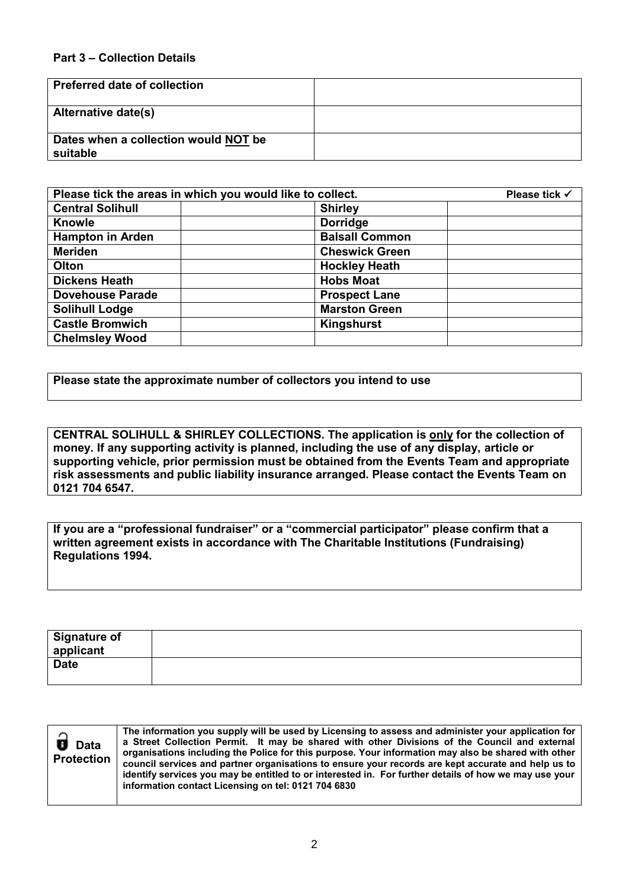### **Part 3 – Collection Details**

| <b>Preferred date of collection</b>              |  |
|--------------------------------------------------|--|
| <b>Alternative date(s)</b>                       |  |
| Dates when a collection would NOT be<br>suitable |  |

| Please tick the areas in which you would like to collect. |                       | Please tick √ |
|-----------------------------------------------------------|-----------------------|---------------|
| <b>Central Solihull</b>                                   | <b>Shirley</b>        |               |
| <b>Knowle</b>                                             | <b>Dorridge</b>       |               |
| <b>Hampton in Arden</b>                                   | <b>Balsall Common</b> |               |
| <b>Meriden</b>                                            | <b>Cheswick Green</b> |               |
| Olton                                                     | <b>Hockley Heath</b>  |               |
| <b>Dickens Heath</b>                                      | <b>Hobs Moat</b>      |               |
| <b>Dovehouse Parade</b>                                   | <b>Prospect Lane</b>  |               |
| <b>Solihull Lodge</b>                                     | <b>Marston Green</b>  |               |
| <b>Castle Bromwich</b>                                    | Kingshurst            |               |
| <b>Chelmsley Wood</b>                                     |                       |               |

**Please state the approximate number of collectors you intend to use**

**CENTRAL SOLIHULL & SHIRLEY COLLECTIONS. The application is only for the collection of money. If any supporting activity is planned, including the use of any display, article or supporting vehicle, prior permission must be obtained from the Events Team and appropriate risk assessments and public liability insurance arranged. Please contact the Events Team on 0121 704 6547.**

**If you are a "professional fundraiser" or a "commercial participator" please confirm that a written agreement exists in accordance with The Charitable Institutions (Fundraising) Regulations 1994.**

| <b>Signature of</b> |  |
|---------------------|--|
| applicant           |  |
| <b>Date</b>         |  |
|                     |  |

| $\widehat{\mathbf{d}}$ Data<br><b>Protection</b> | The information you supply will be used by Licensing to assess and administer your application for<br>a Street Collection Permit. It may be shared with other Divisions of the Council and external<br>organisations including the Police for this purpose. Your information may also be shared with other<br>council services and partner organisations to ensure your records are kept accurate and help us to<br>identify services you may be entitled to or interested in. For further details of how we may use your<br>information contact Licensing on tel: 0121 704 6830 |
|--------------------------------------------------|----------------------------------------------------------------------------------------------------------------------------------------------------------------------------------------------------------------------------------------------------------------------------------------------------------------------------------------------------------------------------------------------------------------------------------------------------------------------------------------------------------------------------------------------------------------------------------|
|--------------------------------------------------|----------------------------------------------------------------------------------------------------------------------------------------------------------------------------------------------------------------------------------------------------------------------------------------------------------------------------------------------------------------------------------------------------------------------------------------------------------------------------------------------------------------------------------------------------------------------------------|